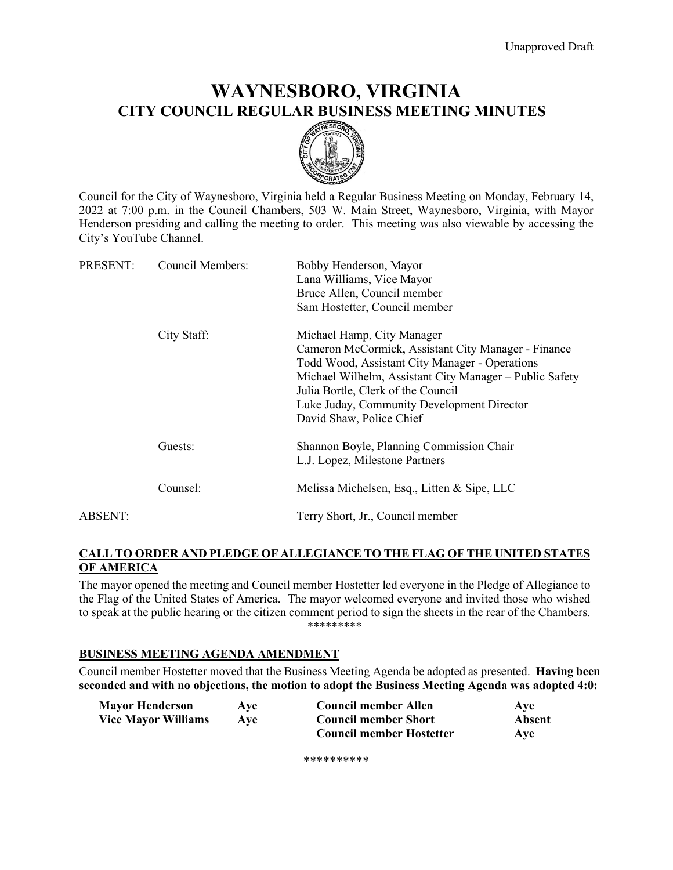# **WAYNESBORO, VIRGINIA CITY COUNCIL REGULAR BUSINESS MEETING MINUTES**



Council for the City of Waynesboro, Virginia held a Regular Business Meeting on Monday, February 14, 2022 at 7:00 p.m. in the Council Chambers, 503 W. Main Street, Waynesboro, Virginia, with Mayor Henderson presiding and calling the meeting to order. This meeting was also viewable by accessing the City's YouTube Channel.

| PRESENT: | <b>Council Members:</b> | Bobby Henderson, Mayor<br>Lana Williams, Vice Mayor<br>Bruce Allen, Council member<br>Sam Hostetter, Council member                                                                                                                                                                                            |
|----------|-------------------------|----------------------------------------------------------------------------------------------------------------------------------------------------------------------------------------------------------------------------------------------------------------------------------------------------------------|
|          | City Staff:             | Michael Hamp, City Manager<br>Cameron McCormick, Assistant City Manager - Finance<br>Todd Wood, Assistant City Manager - Operations<br>Michael Wilhelm, Assistant City Manager - Public Safety<br>Julia Bortle, Clerk of the Council<br>Luke Juday, Community Development Director<br>David Shaw, Police Chief |
|          | Guests:                 | Shannon Boyle, Planning Commission Chair<br>L.J. Lopez, Milestone Partners                                                                                                                                                                                                                                     |
|          | Counsel:                | Melissa Michelsen, Esq., Litten & Sipe, LLC                                                                                                                                                                                                                                                                    |
| ABSENT:  |                         | Terry Short, Jr., Council member                                                                                                                                                                                                                                                                               |

# **CALL TO ORDER AND PLEDGE OF ALLEGIANCE TO THE FLAG OF THE UNITED STATES OF AMERICA**

The mayor opened the meeting and Council member Hostetter led everyone in the Pledge of Allegiance to the Flag of the United States of America. The mayor welcomed everyone and invited those who wished to speak at the public hearing or the citizen comment period to sign the sheets in the rear of the Chambers. \*\*\*\*\*\*\*\*\*

### **BUSINESS MEETING AGENDA AMENDMENT**

Council member Hostetter moved that the Business Meeting Agenda be adopted as presented. **Having been seconded and with no objections, the motion to adopt the Business Meeting Agenda was adopted 4:0:**

| <b>Mayor Henderson</b>     | Ave | <b>Council member Allen</b>     | Ave    |
|----------------------------|-----|---------------------------------|--------|
| <b>Vice Mayor Williams</b> | Ave | <b>Council member Short</b>     | Absent |
|                            |     | <b>Council member Hostetter</b> | Aye    |

\*\*\*\*\*\*\*\*\*\*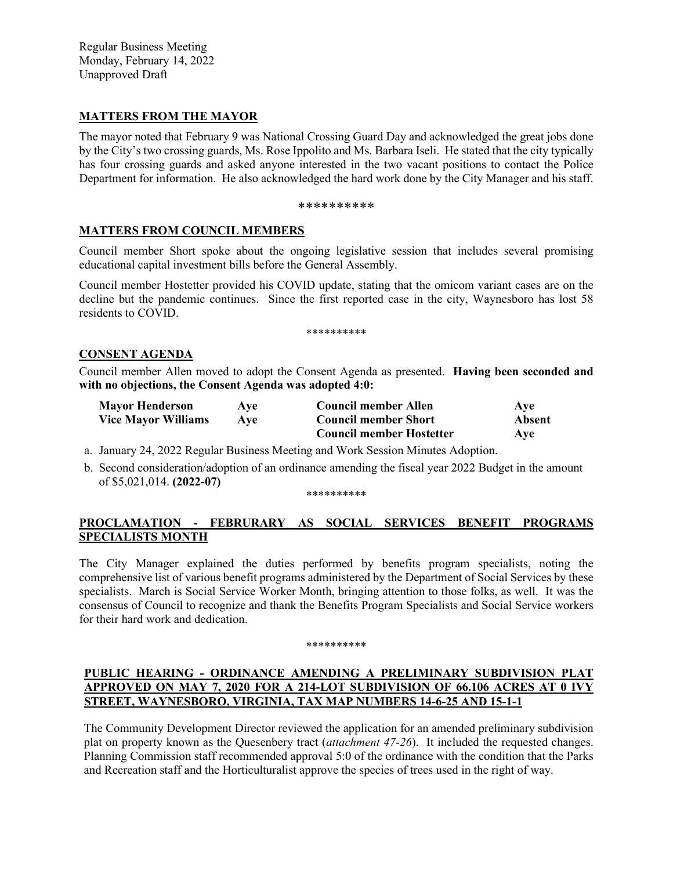Regular Business Meeting Monday, February 14, 2022 Unapproved Draft

### **MATTERS FROM THE MAYOR**

The mayor noted that February 9 was National Crossing Guard Day and acknowledged the great jobs done by the City's two crossing guards, Ms. Rose Ippolito and Ms. Barbara Iseli. He stated that the city typically has four crossing guards and asked anyone interested in the two vacant positions to contact the Police Department for information. He also acknowledged the hard work done by the City Manager and his staff.

#### \*\*\*\*\*\*\*\*\*\*

### **MATTERS FROM COUNCIL MEMBERS**

Council member Short spoke about the ongoing legislative session that includes several promising educational capital investment bills before the General Assembly.

Council member Hostetter provided his COVID update, stating that the omicom variant cases are on the decline but the pandemic continues. Since the first reported case in the city, Waynesboro has lost 58 residents to COVID.

\*\*\*\*\*\*\*\*\*\*

#### **CONSENT AGENDA**

Council member Allen moved to adopt the Consent Agenda as presented. **Having been seconded and with no objections, the Consent Agenda was adopted 4:0:**

| <b>Mayor Henderson</b>     | <b>Ave</b> | <b>Council member Allen</b>     | Ave    |
|----------------------------|------------|---------------------------------|--------|
| <b>Vice Mayor Williams</b> | Ave        | <b>Council member Short</b>     | Absent |
|                            |            | <b>Council member Hostetter</b> | Aye    |

a. January 24, 2022 Regular Business Meeting and Work Session Minutes Adoption.

b. Second consideration/adoption of an ordinance amending the fiscal year 2022 Budget in the amount of \$5,021,014. **(2022-07)**

\*\*\*\*\*\*\*\*\*\*

# **PROCLAMATION - FEBRURARY AS SOCIAL SERVICES BENEFIT PROGRAMS SPECIALISTS MONTH**

The City Manager explained the duties performed by benefits program specialists, noting the comprehensive list of various benefit programs administered by the Department of Social Services by these specialists. March is Social Service Worker Month, bringing attention to those folks, as well. It was the consensus of Council to recognize and thank the Benefits Program Specialists and Social Service workers for their hard work and dedication.

#### \*\*\*\*\*\*\*\*\*\*

### **PUBLIC HEARING - ORDINANCE AMENDING A PRELIMINARY SUBDIVISION PLAT APPROVED ON MAY 7, 2020 FOR A 214-LOT SUBDIVISION OF 66.106 ACRES AT 0 IVY STREET, WAYNESBORO, VIRGINIA, TAX MAP NUMBERS 14-6-25 AND 15-1-1**

The Community Development Director reviewed the application for an amended preliminary subdivision plat on property known as the Quesenbery tract (*attachment 47-26*). It included the requested changes. Planning Commission staff recommended approval 5:0 of the ordinance with the condition that the Parks and Recreation staff and the Horticulturalist approve the species of trees used in the right of way.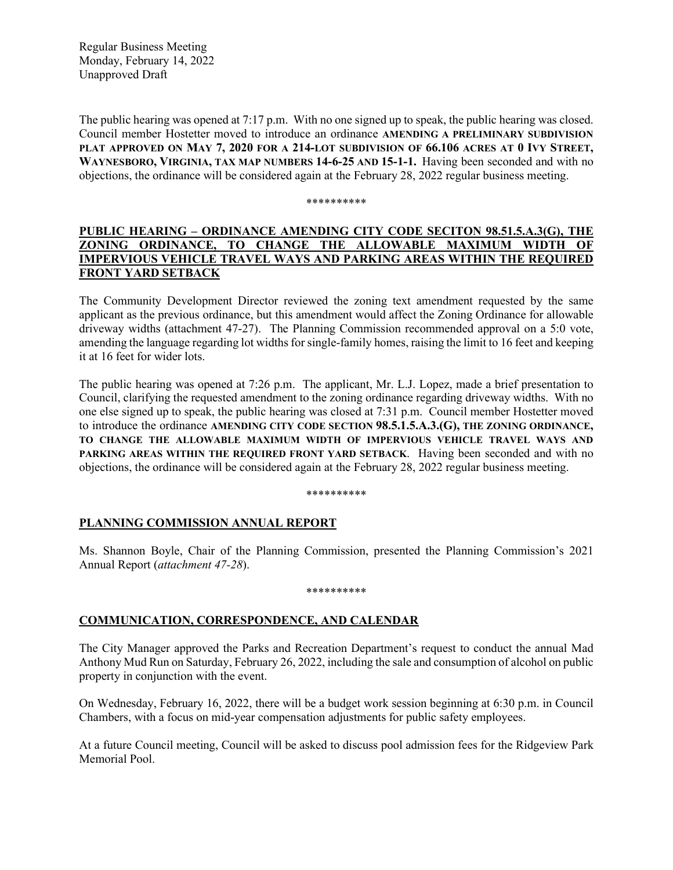Regular Business Meeting Monday, February 14, 2022 Unapproved Draft

The public hearing was opened at 7:17 p.m. With no one signed up to speak, the public hearing was closed. Council member Hostetter moved to introduce an ordinance **AMENDING A PRELIMINARY SUBDIVISION PLAT APPROVED ON MAY 7, 2020 FOR A 214-LOT SUBDIVISION OF 66.106 ACRES AT 0 IVY STREET, WAYNESBORO, VIRGINIA, TAX MAP NUMBERS 14-6-25 AND 15-1-1.** Having been seconded and with no objections, the ordinance will be considered again at the February 28, 2022 regular business meeting.

\*\*\*\*\*\*\*\*\*\*

# **PUBLIC HEARING – ORDINANCE AMENDING CITY CODE SECITON 98.51.5.A.3(G), THE ZONING ORDINANCE, TO CHANGE THE ALLOWABLE MAXIMUM WIDTH OF IMPERVIOUS VEHICLE TRAVEL WAYS AND PARKING AREAS WITHIN THE REQUIRED FRONT YARD SETBACK**

The Community Development Director reviewed the zoning text amendment requested by the same applicant as the previous ordinance, but this amendment would affect the Zoning Ordinance for allowable driveway widths (attachment 47-27). The Planning Commission recommended approval on a 5:0 vote, amending the language regarding lot widths for single-family homes, raising the limit to 16 feet and keeping it at 16 feet for wider lots.

The public hearing was opened at 7:26 p.m. The applicant, Mr. L.J. Lopez, made a brief presentation to Council, clarifying the requested amendment to the zoning ordinance regarding driveway widths. With no one else signed up to speak, the public hearing was closed at 7:31 p.m. Council member Hostetter moved to introduce the ordinance **AMENDING CITY CODE SECTION 98.5.1.5.A.3.(G), THE ZONING ORDINANCE, TO CHANGE THE ALLOWABLE MAXIMUM WIDTH OF IMPERVIOUS VEHICLE TRAVEL WAYS AND PARKING AREAS WITHIN THE REQUIRED FRONT YARD SETBACK**. Having been seconded and with no objections, the ordinance will be considered again at the February 28, 2022 regular business meeting.

\*\*\*\*\*\*\*\*\*\*

# **PLANNING COMMISSION ANNUAL REPORT**

Ms. Shannon Boyle, Chair of the Planning Commission, presented the Planning Commission's 2021 Annual Report (*attachment 47-28*).

#### \*\*\*\*\*\*\*\*\*\*

# **COMMUNICATION, CORRESPONDENCE, AND CALENDAR**

The City Manager approved the Parks and Recreation Department's request to conduct the annual Mad Anthony Mud Run on Saturday, February 26, 2022, including the sale and consumption of alcohol on public property in conjunction with the event.

On Wednesday, February 16, 2022, there will be a budget work session beginning at 6:30 p.m. in Council Chambers, with a focus on mid-year compensation adjustments for public safety employees.

At a future Council meeting, Council will be asked to discuss pool admission fees for the Ridgeview Park Memorial Pool.